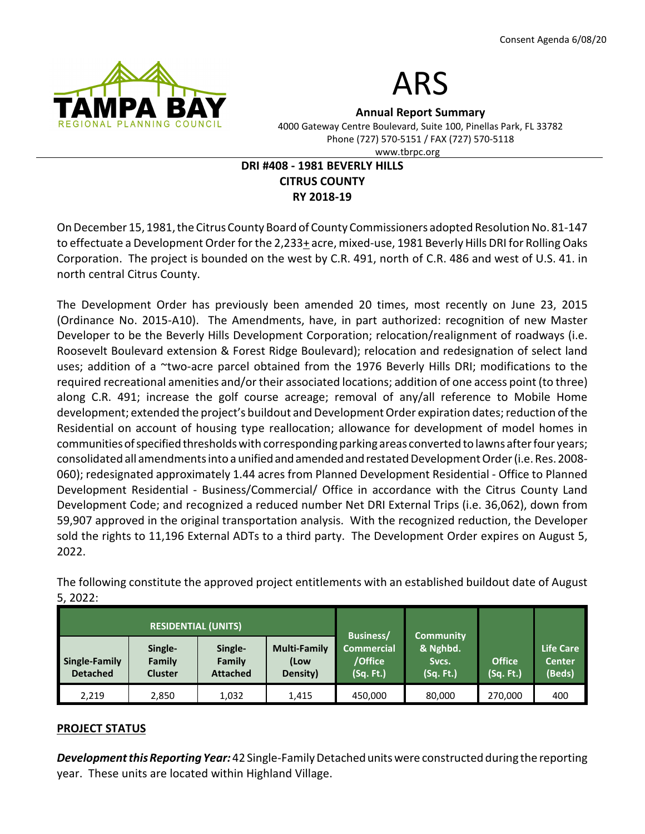



Annual Report Summary 4000 Gateway Centre Boulevard, Suite 100, Pinellas Park, FL 33782

Phone (727) 570-5151 / FAX (727) 570-5118

www.tbrpc.org

# DRI #408 - 1981 BEVERLY HILLS CITRUS COUNTY RY 2018-19

On December 15, 1981, the Citrus County Board of County Commissioners adopted Resolution No. 81-147 to effectuate a Development Order for the 2,233+ acre, mixed-use, 1981 Beverly Hills DRI for Rolling Oaks Corporation. The project is bounded on the west by C.R. 491, north of C.R. 486 and west of U.S. 41. in north central Citrus County.

The Development Order has previously been amended 20 times, most recently on June 23, 2015 (Ordinance No. 2015-A10). The Amendments, have, in part authorized: recognition of new Master Developer to be the Beverly Hills Development Corporation; relocation/realignment of roadways (i.e. Roosevelt Boulevard extension & Forest Ridge Boulevard); relocation and redesignation of select land uses; addition of a ~two-acre parcel obtained from the 1976 Beverly Hills DRI; modifications to the required recreational amenities and/or their associated locations; addition of one access point (to three) along C.R. 491; increase the golf course acreage; removal of any/all reference to Mobile Home development; extended the project's buildout and Development Order expiration dates; reduction of the Residential on account of housing type reallocation; allowance for development of model homes in communities of specified thresholds with corresponding parking areas converted to lawns after four years; consolidated all amendments into a unified and amended and restated Development Order (i.e. Res. 2008- 060); redesignated approximately 1.44 acres from Planned Development Residential - Office to Planned Development Residential - Business/Commercial/ Office in accordance with the Citrus County Land Development Code; and recognized a reduced number Net DRI External Trips (i.e. 36,062), down from 59,907 approved in the original transportation analysis. With the recognized reduction, the Developer sold the rights to 11,196 External ADTs to a third party. The Development Order expires on August 5, 2022.

| <b>RESIDENTIAL (UNITS)</b>       |                                     |                                      |                                         |                                                        | <b>Community</b>               |                            |                                      |
|----------------------------------|-------------------------------------|--------------------------------------|-----------------------------------------|--------------------------------------------------------|--------------------------------|----------------------------|--------------------------------------|
| Single-Family<br><b>Detached</b> | Single-<br>Family<br><b>Cluster</b> | Single-<br>Family<br><b>Attached</b> | <b>Multi-Family</b><br>(Low<br>Density) | <b>Business/</b><br>Commercial<br>/Office<br>(Sq. Ft.) | & Nghbd.<br>Sycs.<br>(Sq. Ft.) | <b>Office</b><br>(Sq. Ft.) | Life Care<br><b>Center</b><br>(Beds) |
| 2,219                            | 2,850                               | 1,032                                | 1.415                                   | 450,000                                                | 80,000                         | 270,000                    | 400                                  |

The following constitute the approved project entitlements with an established buildout date of August 5, 2022:

### PROJECT STATUS

Development this Reporting Year: 42 Single-Family Detached units were constructed during the reporting year. These units are located within Highland Village.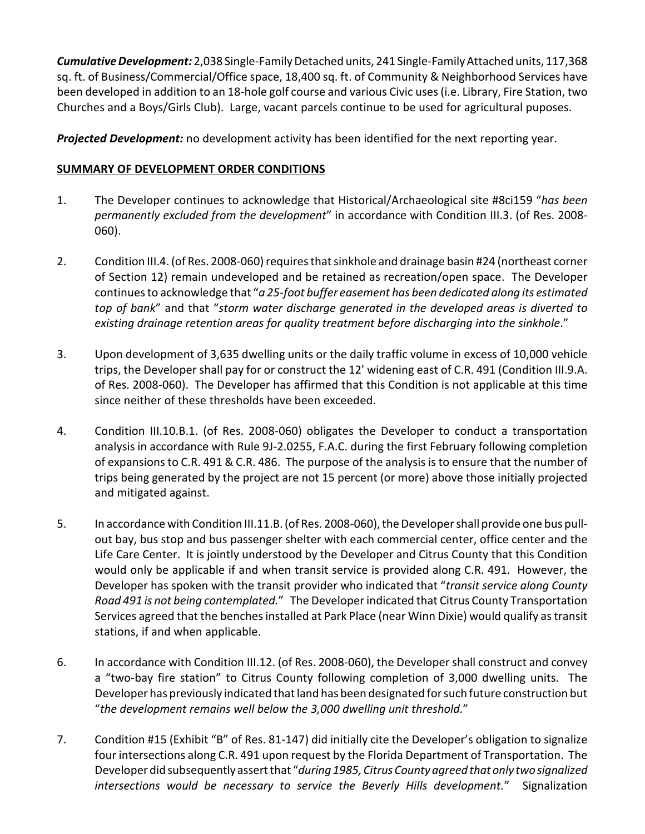Cumulative Development: 2,038 Single-Family Detached units, 241 Single-Family Attached units, 117,368 sq. ft. of Business/Commercial/Office space, 18,400 sq. ft. of Community & Neighborhood Services have been developed in addition to an 18-hole golf course and various Civic uses (i.e. Library, Fire Station, two Churches and a Boys/Girls Club). Large, vacant parcels continue to be used for agricultural puposes.

**Projected Development:** no development activity has been identified for the next reporting year.

## SUMMARY OF DEVELOPMENT ORDER CONDITIONS

- 1. The Developer continues to acknowledge that Historical/Archaeological site #8ci159 "has been permanently excluded from the development" in accordance with Condition III.3. (of Res. 2008-060).
- 2. Condition III.4. (of Res. 2008-060) requires that sinkhole and drainage basin #24 (northeast corner of Section 12) remain undeveloped and be retained as recreation/open space. The Developer continues to acknowledge that "a 25-foot buffer easement has been dedicated along its estimated top of bank" and that "storm water discharge generated in the developed areas is diverted to existing drainage retention areas for quality treatment before discharging into the sinkhole."
- 3. Upon development of 3,635 dwelling units or the daily traffic volume in excess of 10,000 vehicle trips, the Developer shall pay for or construct the 12' widening east of C.R. 491 (Condition III.9.A. of Res. 2008-060). The Developer has affirmed that this Condition is not applicable at this time since neither of these thresholds have been exceeded.
- 4. Condition III.10.B.1. (of Res. 2008-060) obligates the Developer to conduct a transportation analysis in accordance with Rule 9J-2.0255, F.A.C. during the first February following completion of expansions to C.R. 491 & C.R. 486. The purpose of the analysis is to ensure that the number of trips being generated by the project are not 15 percent (or more) above those initially projected and mitigated against.
- 5. In accordance with Condition III.11.B. (of Res. 2008-060), the Developer shall provide one bus pullout bay, bus stop and bus passenger shelter with each commercial center, office center and the Life Care Center. It is jointly understood by the Developer and Citrus County that this Condition would only be applicable if and when transit service is provided along C.R. 491. However, the Developer has spoken with the transit provider who indicated that "transit service along County Road 491 is not being contemplated." The Developer indicated that Citrus County Transportation Services agreed that the benches installed at Park Place (near Winn Dixie) would qualify as transit stations, if and when applicable.
- 6. In accordance with Condition III.12. (of Res. 2008-060), the Developer shall construct and convey a "two-bay fire station" to Citrus County following completion of 3,000 dwelling units. The Developer has previously indicated that land has been designated for such future construction but "the development remains well below the 3,000 dwelling unit threshold."
- 7. Condition #15 (Exhibit "B" of Res. 81-147) did initially cite the Developer's obligation to signalize four intersections along C.R. 491 upon request by the Florida Department of Transportation. The Developer did subsequently assert that "during 1985, Citrus County agreed that only two signalized intersections would be necessary to service the Beverly Hills development." Signalization